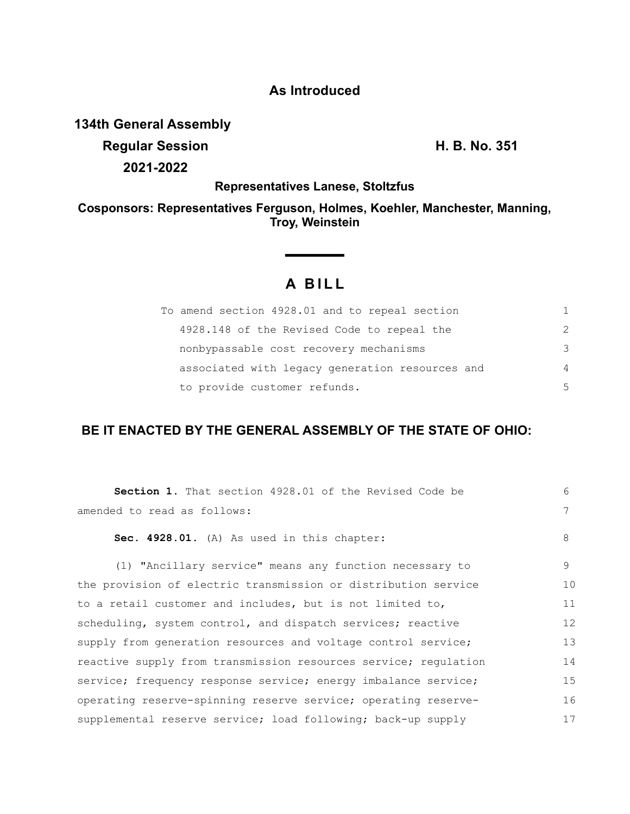## **As Introduced**

**134th General Assembly**

**Regular Session H. B. No. 351 2021-2022**

### **Representatives Lanese, Stoltzfus**

### **Cosponsors: Representatives Ferguson, Holmes, Koehler, Manchester, Manning, Troy, Weinstein**

# **A BILL**

| To amend section 4928.01 and to repeal section  | 1             |
|-------------------------------------------------|---------------|
| 4928.148 of the Revised Code to repeal the      | $\mathcal{P}$ |
| nonbypassable cost recovery mechanisms          | 3             |
| associated with legacy generation resources and | 4             |
| to provide customer refunds.                    | 5             |

## **BE IT ENACTED BY THE GENERAL ASSEMBLY OF THE STATE OF OHIO:**

| <b>Section 1.</b> That section 4928.01 of the Revised Code be   | $6 \overline{6}$ |
|-----------------------------------------------------------------|------------------|
| amended to read as follows:                                     | 7                |
| Sec. 4928.01. (A) As used in this chapter:                      | 8                |
| (1) "Ancillary service" means any function necessary to         | 9                |
| the provision of electric transmission or distribution service  | 10               |
| to a retail customer and includes, but is not limited to,       | 11               |
| scheduling, system control, and dispatch services; reactive     | 12               |
| supply from generation resources and voltage control service;   | 13               |
| reactive supply from transmission resources service; regulation | 14               |
| service; frequency response service; energy imbalance service;  | 15               |
| operating reserve-spinning reserve service; operating reserve-  | 16               |
| supplemental reserve service; load following; back-up supply    | 17               |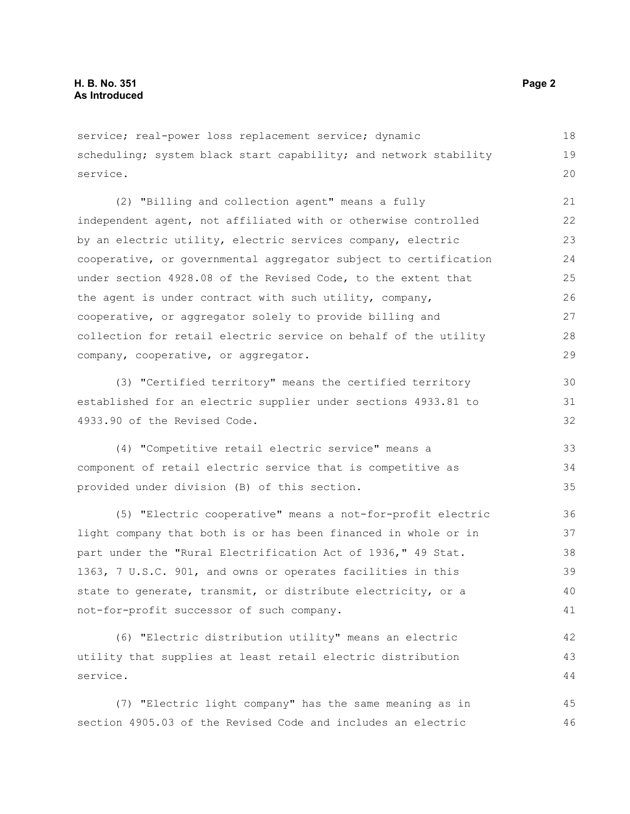service; real-power loss replacement service; dynamic scheduling; system black start capability; and network stability service. 18 19 20

(2) "Billing and collection agent" means a fully independent agent, not affiliated with or otherwise controlled by an electric utility, electric services company, electric cooperative, or governmental aggregator subject to certification under section 4928.08 of the Revised Code, to the extent that the agent is under contract with such utility, company, cooperative, or aggregator solely to provide billing and collection for retail electric service on behalf of the utility company, cooperative, or aggregator. 21 22 23  $24$ 25 26 27 28 29

(3) "Certified territory" means the certified territory established for an electric supplier under sections 4933.81 to 4933.90 of the Revised Code.

(4) "Competitive retail electric service" means a component of retail electric service that is competitive as provided under division (B) of this section. 33 34 35

(5) "Electric cooperative" means a not-for-profit electric light company that both is or has been financed in whole or in part under the "Rural Electrification Act of 1936," 49 Stat. 1363, 7 U.S.C. 901, and owns or operates facilities in this state to generate, transmit, or distribute electricity, or a not-for-profit successor of such company.

(6) "Electric distribution utility" means an electric utility that supplies at least retail electric distribution service. 42 43 44

(7) "Electric light company" has the same meaning as in section 4905.03 of the Revised Code and includes an electric 45 46

30 31 32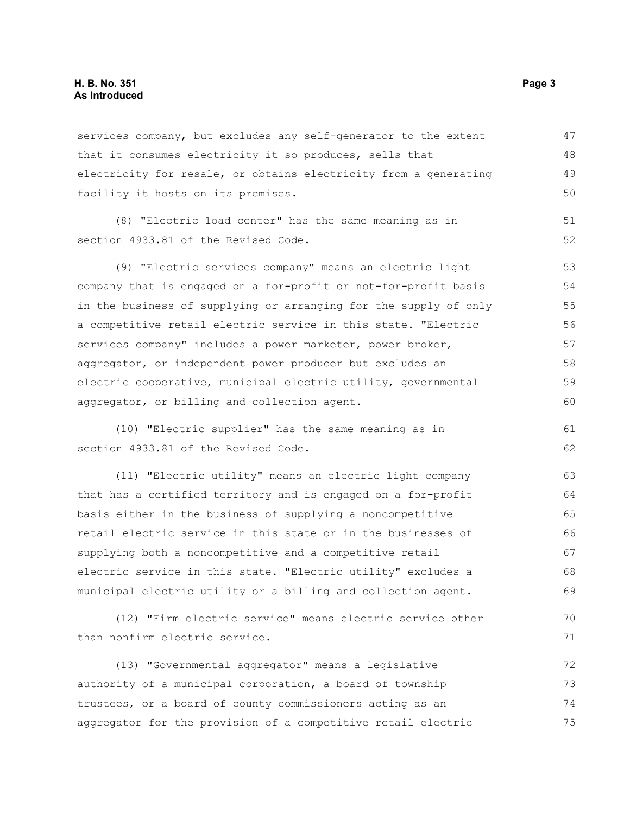#### **H. B. No. 351 Page 3 As Introduced**

services company, but excludes any self-generator to the extent that it consumes electricity it so produces, sells that electricity for resale, or obtains electricity from a generating facility it hosts on its premises. (8) "Electric load center" has the same meaning as in section 4933.81 of the Revised Code. (9) "Electric services company" means an electric light company that is engaged on a for-profit or not-for-profit basis in the business of supplying or arranging for the supply of only a competitive retail electric service in this state. "Electric services company" includes a power marketer, power broker, aggregator, or independent power producer but excludes an electric cooperative, municipal electric utility, governmental aggregator, or billing and collection agent. (10) "Electric supplier" has the same meaning as in section 4933.81 of the Revised Code. 47 48 49 50 51 52 53 54 55 56 57 58 59 60 61 62

(11) "Electric utility" means an electric light company that has a certified territory and is engaged on a for-profit basis either in the business of supplying a noncompetitive retail electric service in this state or in the businesses of supplying both a noncompetitive and a competitive retail electric service in this state. "Electric utility" excludes a municipal electric utility or a billing and collection agent. 63 64 65 66 67 68 69

(12) "Firm electric service" means electric service other than nonfirm electric service.

(13) "Governmental aggregator" means a legislative authority of a municipal corporation, a board of township trustees, or a board of county commissioners acting as an aggregator for the provision of a competitive retail electric 72 73 74 75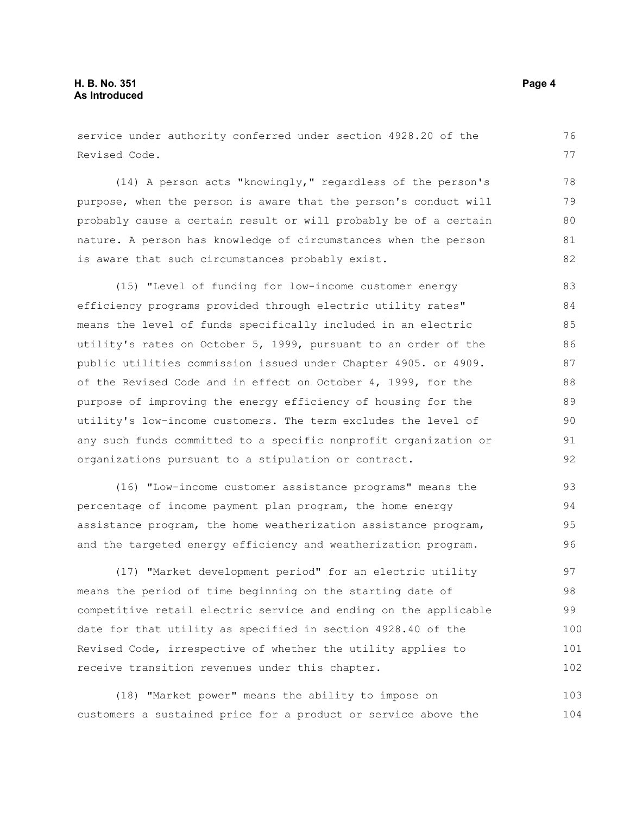service under authority conferred under section 4928.20 of the Revised Code.

(14) A person acts "knowingly," regardless of the person's purpose, when the person is aware that the person's conduct will probably cause a certain result or will probably be of a certain nature. A person has knowledge of circumstances when the person is aware that such circumstances probably exist. 78 79 80 81 82

(15) "Level of funding for low-income customer energy efficiency programs provided through electric utility rates" means the level of funds specifically included in an electric utility's rates on October 5, 1999, pursuant to an order of the public utilities commission issued under Chapter 4905. or 4909. of the Revised Code and in effect on October 4, 1999, for the purpose of improving the energy efficiency of housing for the utility's low-income customers. The term excludes the level of any such funds committed to a specific nonprofit organization or organizations pursuant to a stipulation or contract. 83 84 85 86 87 88 89 90 91 92

(16) "Low-income customer assistance programs" means the percentage of income payment plan program, the home energy assistance program, the home weatherization assistance program, and the targeted energy efficiency and weatherization program. 93 94 95 96

(17) "Market development period" for an electric utility means the period of time beginning on the starting date of competitive retail electric service and ending on the applicable date for that utility as specified in section 4928.40 of the Revised Code, irrespective of whether the utility applies to receive transition revenues under this chapter. 97 98 99 100 101 102

(18) "Market power" means the ability to impose on customers a sustained price for a product or service above the 103 104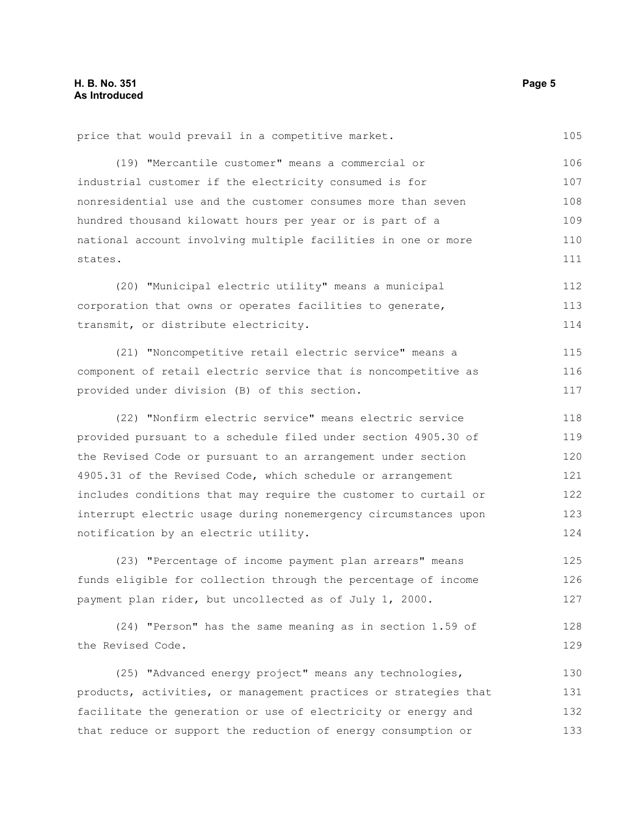price that would prevail in a competitive market. (19) "Mercantile customer" means a commercial or industrial customer if the electricity consumed is for nonresidential use and the customer consumes more than seven hundred thousand kilowatt hours per year or is part of a national account involving multiple facilities in one or more states. (20) "Municipal electric utility" means a municipal corporation that owns or operates facilities to generate, transmit, or distribute electricity. (21) "Noncompetitive retail electric service" means a component of retail electric service that is noncompetitive as provided under division (B) of this section. (22) "Nonfirm electric service" means electric service provided pursuant to a schedule filed under section 4905.30 of the Revised Code or pursuant to an arrangement under section 4905.31 of the Revised Code, which schedule or arrangement includes conditions that may require the customer to curtail or 105 106 107 108 109 110 111 112 113 114 115 116 117 118 119 120 121 122

interrupt electric usage during nonemergency circumstances upon

(23) "Percentage of income payment plan arrears" means

(24) "Person" has the same meaning as in section 1.59 of

(25) "Advanced energy project" means any technologies, products, activities, or management practices or strategies that

facilitate the generation or use of electricity or energy and that reduce or support the reduction of energy consumption or

funds eligible for collection through the percentage of income

payment plan rider, but uncollected as of July 1, 2000.

notification by an electric utility.

the Revised Code.

123 124

125 126 127

128 129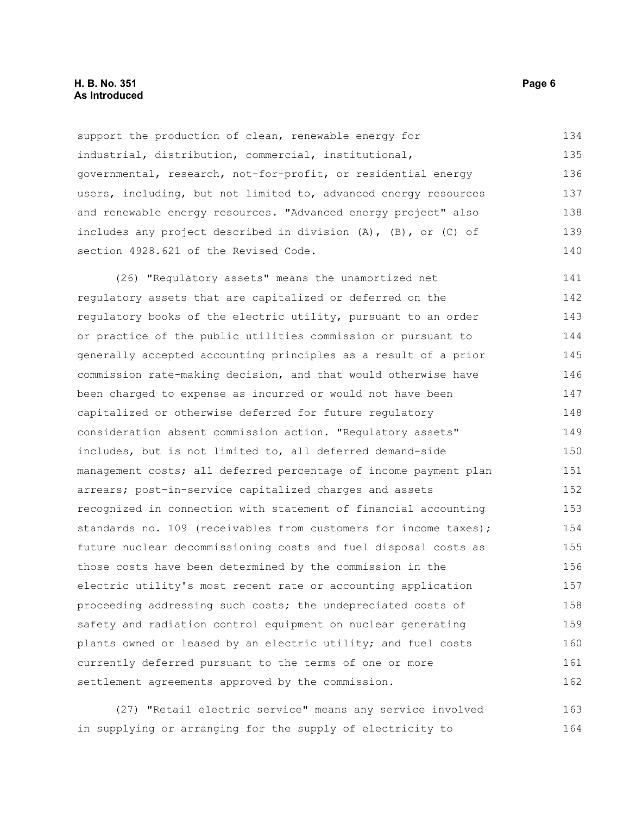support the production of clean, renewable energy for industrial, distribution, commercial, institutional, governmental, research, not-for-profit, or residential energy users, including, but not limited to, advanced energy resources and renewable energy resources. "Advanced energy project" also includes any project described in division (A), (B), or (C) of section 4928.621 of the Revised Code. 134 135 136 137 138 139 140

(26) "Regulatory assets" means the unamortized net regulatory assets that are capitalized or deferred on the regulatory books of the electric utility, pursuant to an order or practice of the public utilities commission or pursuant to generally accepted accounting principles as a result of a prior commission rate-making decision, and that would otherwise have been charged to expense as incurred or would not have been capitalized or otherwise deferred for future regulatory consideration absent commission action. "Regulatory assets" includes, but is not limited to, all deferred demand-side management costs; all deferred percentage of income payment plan arrears; post-in-service capitalized charges and assets recognized in connection with statement of financial accounting standards no. 109 (receivables from customers for income taxes); future nuclear decommissioning costs and fuel disposal costs as those costs have been determined by the commission in the electric utility's most recent rate or accounting application proceeding addressing such costs; the undepreciated costs of safety and radiation control equipment on nuclear generating plants owned or leased by an electric utility; and fuel costs currently deferred pursuant to the terms of one or more settlement agreements approved by the commission. 141 142 143 144 145 146 147 148 149 150 151 152 153 154 155 156 157 158 159 160 161 162

(27) "Retail electric service" means any service involved in supplying or arranging for the supply of electricity to 163 164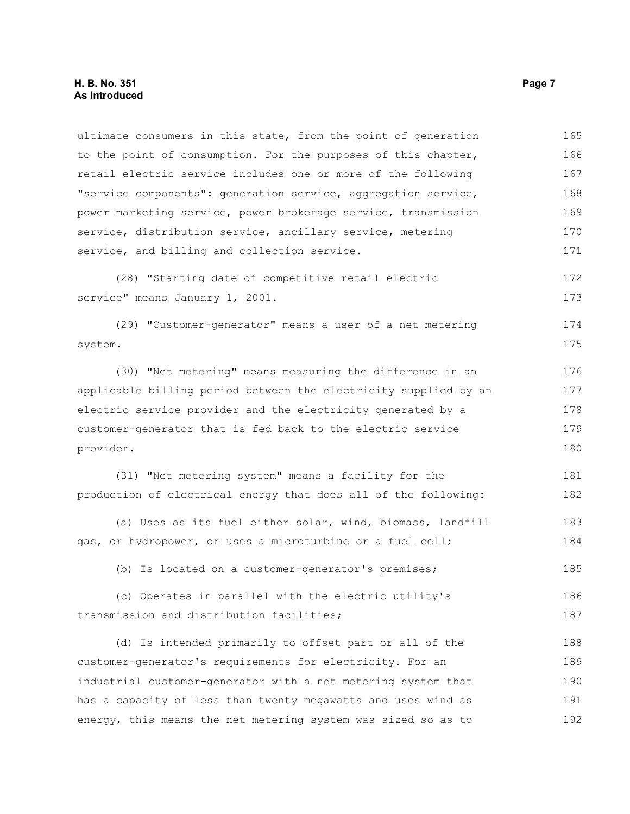ultimate consumers in this state, from the point of generation to the point of consumption. For the purposes of this chapter, retail electric service includes one or more of the following "service components": generation service, aggregation service, power marketing service, power brokerage service, transmission service, distribution service, ancillary service, metering service, and billing and collection service. (28) "Starting date of competitive retail electric service" means January 1, 2001. (29) "Customer-generator" means a user of a net metering system. (30) "Net metering" means measuring the difference in an applicable billing period between the electricity supplied by an electric service provider and the electricity generated by a customer-generator that is fed back to the electric service provider. (31) "Net metering system" means a facility for the production of electrical energy that does all of the following: (a) Uses as its fuel either solar, wind, biomass, landfill gas, or hydropower, or uses a microturbine or a fuel cell; (b) Is located on a customer-generator's premises; (c) Operates in parallel with the electric utility's transmission and distribution facilities; (d) Is intended primarily to offset part or all of the customer-generator's requirements for electricity. For an industrial customer-generator with a net metering system that has a capacity of less than twenty megawatts and uses wind as 165 166 167 168 169 170 171 172 173 174 175 176 177 178 179 180 181 182 183 184 185 186 187 188 189 190 191

192

energy, this means the net metering system was sized so as to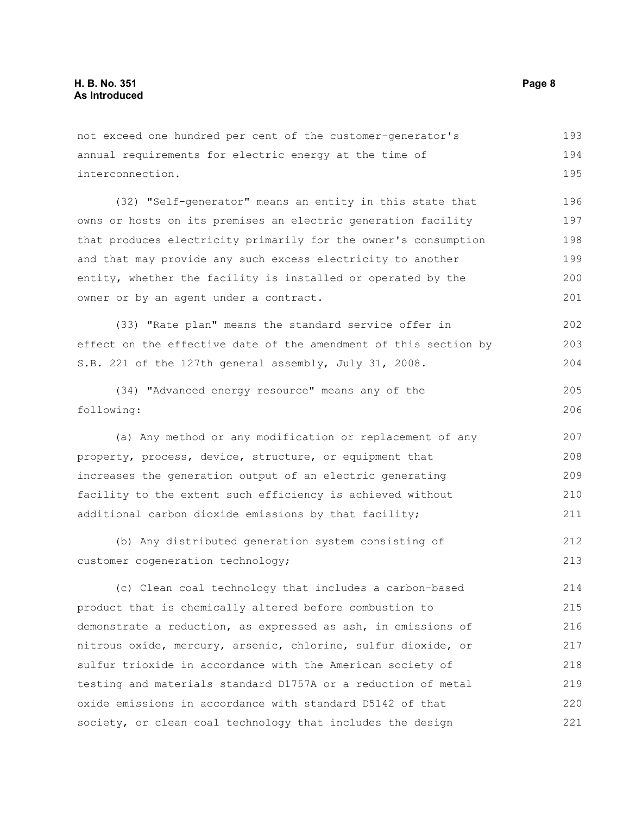not exceed one hundred per cent of the customer-generator's annual requirements for electric energy at the time of interconnection. (32) "Self-generator" means an entity in this state that owns or hosts on its premises an electric generation facility that produces electricity primarily for the owner's consumption and that may provide any such excess electricity to another entity, whether the facility is installed or operated by the owner or by an agent under a contract. (33) "Rate plan" means the standard service offer in effect on the effective date of the amendment of this section by S.B. 221 of the 127th general assembly, July 31, 2008. (34) "Advanced energy resource" means any of the following: (a) Any method or any modification or replacement of any property, process, device, structure, or equipment that increases the generation output of an electric generating facility to the extent such efficiency is achieved without additional carbon dioxide emissions by that facility; (b) Any distributed generation system consisting of customer cogeneration technology; (c) Clean coal technology that includes a carbon-based product that is chemically altered before combustion to demonstrate a reduction, as expressed as ash, in emissions of nitrous oxide, mercury, arsenic, chlorine, sulfur dioxide, or sulfur trioxide in accordance with the American society of testing and materials standard D1757A or a reduction of metal oxide emissions in accordance with standard D5142 of that society, or clean coal technology that includes the design 194 195 196 197 198 199 200 201 202 203 204 205 206 207 208 209 210 211 212 213 214 215 216 217 218 219 220 221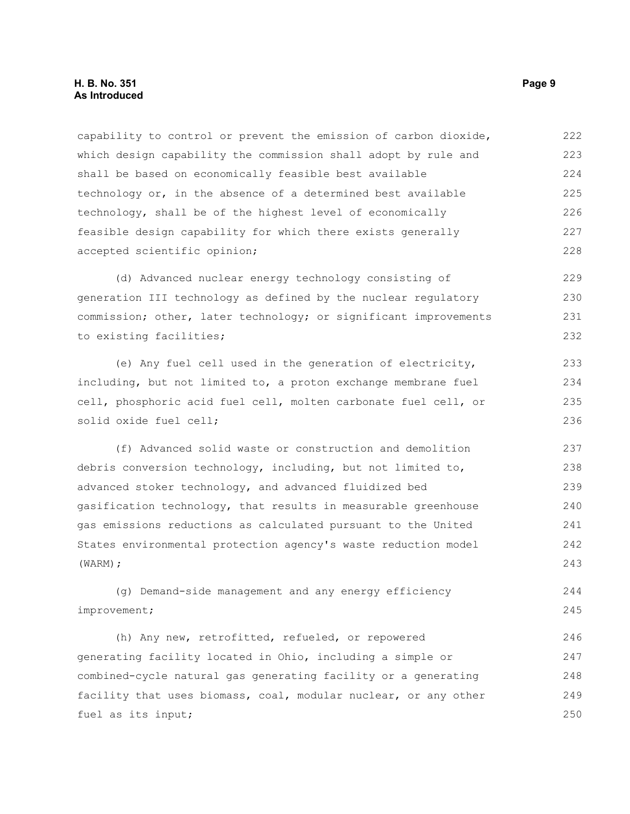#### **H. B. No. 351 Page 9 As Introduced**

capability to control or prevent the emission of carbon dioxide, which design capability the commission shall adopt by rule and shall be based on economically feasible best available technology or, in the absence of a determined best available technology, shall be of the highest level of economically feasible design capability for which there exists generally accepted scientific opinion; 222 223 224 225 226 227 228

(d) Advanced nuclear energy technology consisting of generation III technology as defined by the nuclear regulatory commission; other, later technology; or significant improvements to existing facilities; 229 230 231 232

(e) Any fuel cell used in the generation of electricity, including, but not limited to, a proton exchange membrane fuel cell, phosphoric acid fuel cell, molten carbonate fuel cell, or solid oxide fuel cell;

(f) Advanced solid waste or construction and demolition debris conversion technology, including, but not limited to, advanced stoker technology, and advanced fluidized bed gasification technology, that results in measurable greenhouse gas emissions reductions as calculated pursuant to the United States environmental protection agency's waste reduction model (WARM); 237 238 239 240 241 242 243

(g) Demand-side management and any energy efficiency improvement;

(h) Any new, retrofitted, refueled, or repowered generating facility located in Ohio, including a simple or combined-cycle natural gas generating facility or a generating facility that uses biomass, coal, modular nuclear, or any other fuel as its input; 246 247 248 249 250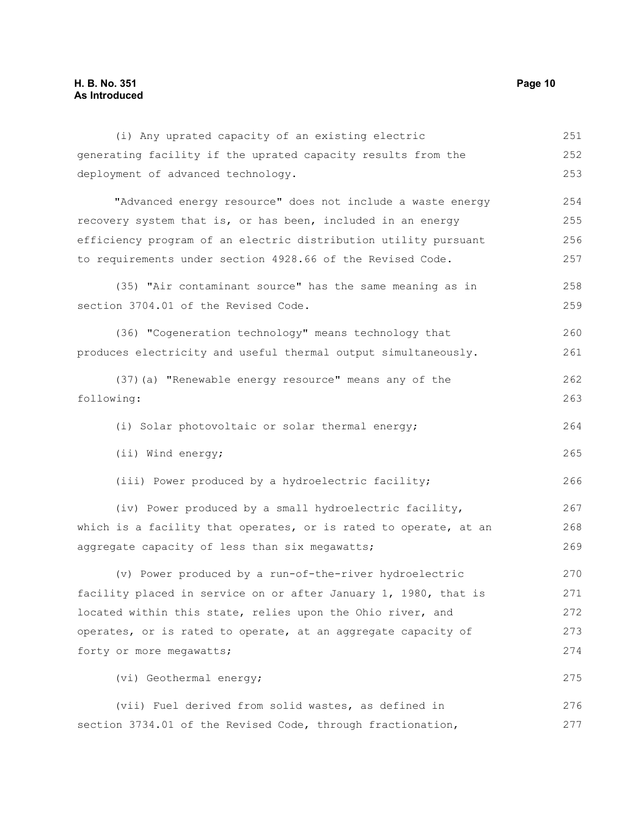(i) Any uprated capacity of an existing electric generating facility if the uprated capacity results from the deployment of advanced technology. "Advanced energy resource" does not include a waste energy recovery system that is, or has been, included in an energy efficiency program of an electric distribution utility pursuant to requirements under section 4928.66 of the Revised Code. (35) "Air contaminant source" has the same meaning as in section 3704.01 of the Revised Code. (36) "Cogeneration technology" means technology that produces electricity and useful thermal output simultaneously. (37)(a) "Renewable energy resource" means any of the following: (i) Solar photovoltaic or solar thermal energy; (ii) Wind energy; (iii) Power produced by a hydroelectric facility; (iv) Power produced by a small hydroelectric facility, which is a facility that operates, or is rated to operate, at an aggregate capacity of less than six megawatts; (v) Power produced by a run-of-the-river hydroelectric facility placed in service on or after January 1, 1980, that is located within this state, relies upon the Ohio river, and operates, or is rated to operate, at an aggregate capacity of forty or more megawatts; (vi) Geothermal energy; (vii) Fuel derived from solid wastes, as defined in section 3734.01 of the Revised Code, through fractionation, 251 252 253 254 255 256 257 258 259 260 261 262 263 264 265 266 267 268 269 270 271 272 273 274 275 276 277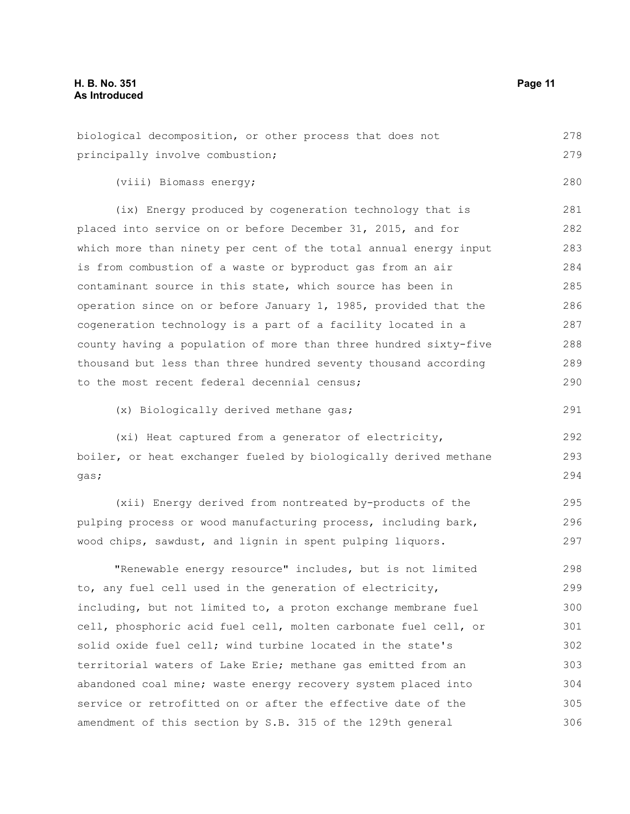(viii) Biomass energy;

principally involve combustion;

(ix) Energy produced by cogeneration technology that is placed into service on or before December 31, 2015, and for which more than ninety per cent of the total annual energy input is from combustion of a waste or byproduct gas from an air contaminant source in this state, which source has been in operation since on or before January 1, 1985, provided that the cogeneration technology is a part of a facility located in a county having a population of more than three hundred sixty-five thousand but less than three hundred seventy thousand according to the most recent federal decennial census; 281 282 283 284 285 286 287 288 289 290

(x) Biologically derived methane gas;

(xi) Heat captured from a generator of electricity, boiler, or heat exchanger fueled by biologically derived methane gas; 292 293 294

(xii) Energy derived from nontreated by-products of the pulping process or wood manufacturing process, including bark, wood chips, sawdust, and lignin in spent pulping liquors.

"Renewable energy resource" includes, but is not limited to, any fuel cell used in the generation of electricity, including, but not limited to, a proton exchange membrane fuel cell, phosphoric acid fuel cell, molten carbonate fuel cell, or solid oxide fuel cell; wind turbine located in the state's territorial waters of Lake Erie; methane gas emitted from an abandoned coal mine; waste energy recovery system placed into service or retrofitted on or after the effective date of the amendment of this section by S.B. 315 of the 129th general 298 299 300 301 302 303 304 305 306

278 279

280

291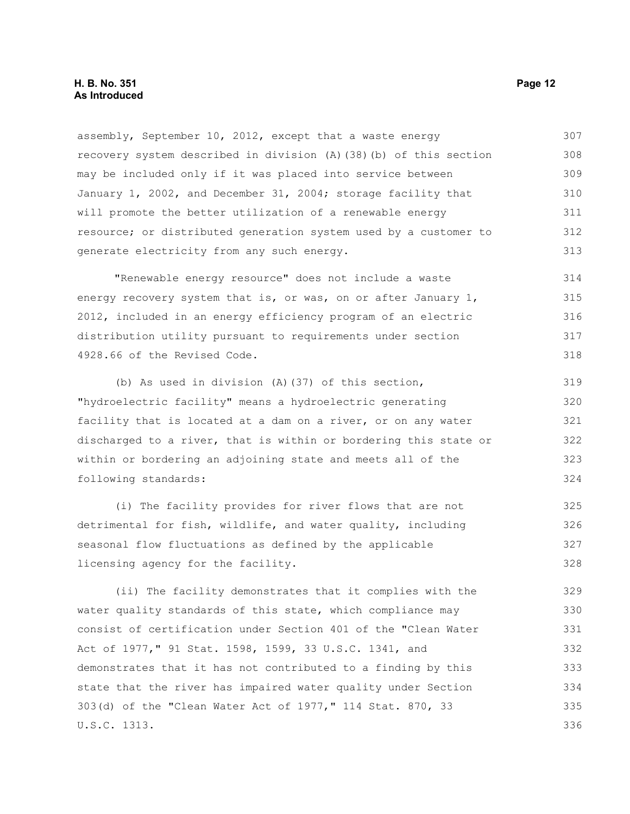assembly, September 10, 2012, except that a waste energy recovery system described in division (A)(38)(b) of this section may be included only if it was placed into service between January 1, 2002, and December 31, 2004; storage facility that will promote the better utilization of a renewable energy resource; or distributed generation system used by a customer to generate electricity from any such energy. "Renewable energy resource" does not include a waste energy recovery system that is, or was, on or after January 1, 2012, included in an energy efficiency program of an electric distribution utility pursuant to requirements under section 4928.66 of the Revised Code. (b) As used in division (A)(37) of this section, "hydroelectric facility" means a hydroelectric generating facility that is located at a dam on a river, or on any water discharged to a river, that is within or bordering this state or within or bordering an adjoining state and meets all of the 307 308 309 310 311 312 313 314 315 316 317 318 319 320 321 322 323

following standards:

(i) The facility provides for river flows that are not detrimental for fish, wildlife, and water quality, including seasonal flow fluctuations as defined by the applicable licensing agency for the facility. 325 326 327 328

(ii) The facility demonstrates that it complies with the water quality standards of this state, which compliance may consist of certification under Section 401 of the "Clean Water Act of 1977," 91 Stat. 1598, 1599, 33 U.S.C. 1341, and demonstrates that it has not contributed to a finding by this state that the river has impaired water quality under Section 303(d) of the "Clean Water Act of 1977," 114 Stat. 870, 33 U.S.C. 1313. 329 330 331 332 333 334 335 336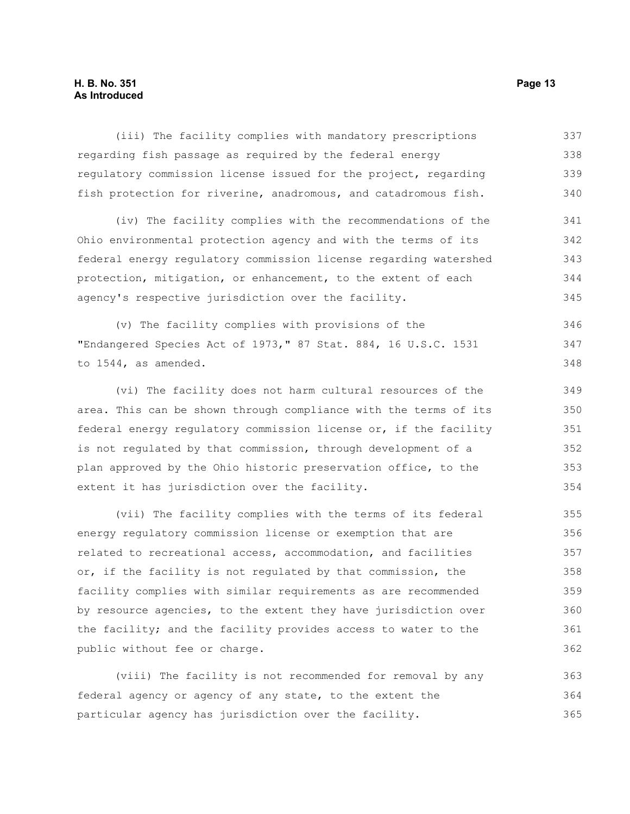#### **H. B. No. 351 Page 13 As Introduced**

(iii) The facility complies with mandatory prescriptions regarding fish passage as required by the federal energy regulatory commission license issued for the project, regarding fish protection for riverine, anadromous, and catadromous fish. (iv) The facility complies with the recommendations of the Ohio environmental protection agency and with the terms of its federal energy regulatory commission license regarding watershed protection, mitigation, or enhancement, to the extent of each agency's respective jurisdiction over the facility. (v) The facility complies with provisions of the "Endangered Species Act of 1973," 87 Stat. 884, 16 U.S.C. 1531 to 1544, as amended. (vi) The facility does not harm cultural resources of the area. This can be shown through compliance with the terms of its federal energy regulatory commission license or, if the facility is not regulated by that commission, through development of a plan approved by the Ohio historic preservation office, to the extent it has jurisdiction over the facility. 337 338 339 340 341 342 343 344 345 346 347 348 349 350 351 352 353 354 355

(vii) The facility complies with the terms of its federal energy regulatory commission license or exemption that are related to recreational access, accommodation, and facilities or, if the facility is not regulated by that commission, the facility complies with similar requirements as are recommended by resource agencies, to the extent they have jurisdiction over the facility; and the facility provides access to water to the public without fee or charge. 356 357 358 359 360 361 362

(viii) The facility is not recommended for removal by any federal agency or agency of any state, to the extent the particular agency has jurisdiction over the facility. 363 364 365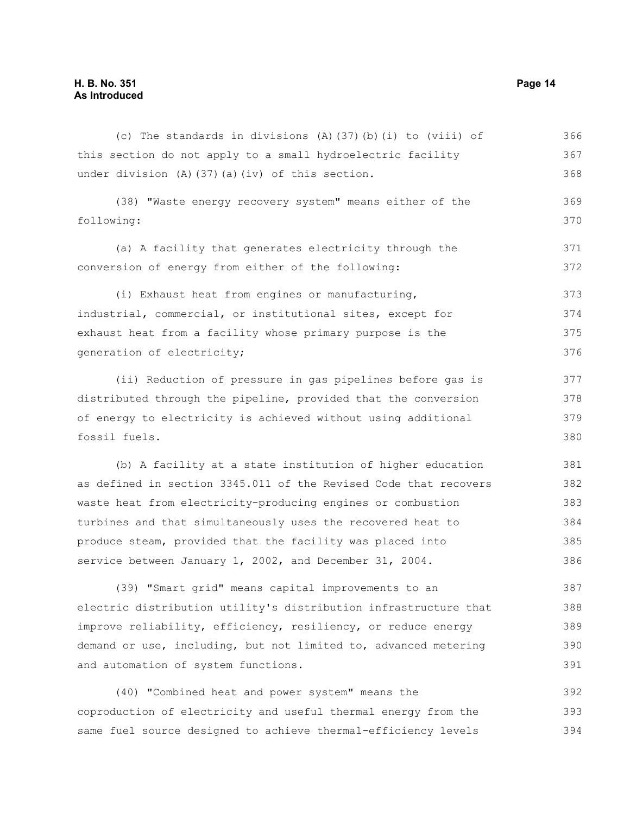(c) The standards in divisions (A)(37)(b)(i) to (viii) of this section do not apply to a small hydroelectric facility under division (A)(37)(a)(iv) of this section. (38) "Waste energy recovery system" means either of the following: (a) A facility that generates electricity through the conversion of energy from either of the following: (i) Exhaust heat from engines or manufacturing, industrial, commercial, or institutional sites, except for exhaust heat from a facility whose primary purpose is the generation of electricity; (ii) Reduction of pressure in gas pipelines before gas is distributed through the pipeline, provided that the conversion of energy to electricity is achieved without using additional fossil fuels. (b) A facility at a state institution of higher education as defined in section 3345.011 of the Revised Code that recovers waste heat from electricity-producing engines or combustion turbines and that simultaneously uses the recovered heat to produce steam, provided that the facility was placed into service between January 1, 2002, and December 31, 2004. (39) "Smart grid" means capital improvements to an electric distribution utility's distribution infrastructure that improve reliability, efficiency, resiliency, or reduce energy demand or use, including, but not limited to, advanced metering 366 367 368 369 370 371 372 373 374 375 376 377 378 379 380 381 382 383 384 385 386 387 388 389 390

(40) "Combined heat and power system" means the coproduction of electricity and useful thermal energy from the same fuel source designed to achieve thermal-efficiency levels 392 393 394

and automation of system functions.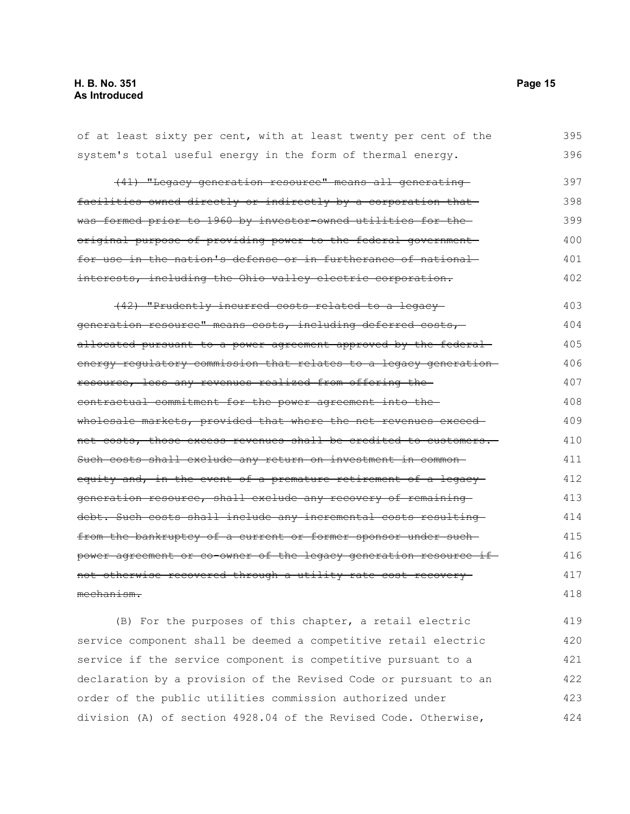| of at least sixty per cent, with at least twenty per cent of the      | 395 |
|-----------------------------------------------------------------------|-----|
| system's total useful energy in the form of thermal energy.           | 396 |
| (41) "Legacy generation resource" means all generating                | 397 |
| facilities owned directly or indirectly by a corporation that         | 398 |
| was formed prior to 1960 by investor-owned utilities for the          | 399 |
| original purpose of providing power to the federal government         | 400 |
| <u>for use in the nation's defense or in furtherance of national-</u> | 401 |
| interests, including the Ohio valley electric corporation.            | 402 |
| (42) "Prudently incurred costs related to a legacy-                   | 403 |
| generation resource" means costs, including deferred costs,           | 404 |
| allocated pursuant to a power agreement approved by the federal-      | 405 |
| energy regulatory commission that relates to a legacy generation      | 406 |
| resource, less any revenues realized from offering the-               | 407 |
| <u>contractual commitment for the power agreement into the-</u>       | 408 |
| wholesale markets, provided that where the net revenues exceed-       | 409 |
| net costs, those excess revenues shall be credited to customers.      | 410 |
| Such costs shall exclude any return on investment in common-          | 411 |
| equity and, in the event of a premature retirement of a legacy-       | 412 |
| generation resource, shall exclude any recovery of remaining          | 413 |
| debt. Such costs shall include any incremental costs resulting        | 414 |
| from the bankruptcy of a current or former sponsor under such-        | 415 |
| power agreement or co-owner of the legacy generation resource if      | 416 |
| not otherwise recovered through a utility rate cost recovery          |     |
| mechanism.                                                            |     |
| (B) For the purposes of this chapter, a retail electric               | 419 |
| service component shall be deemed a competitive retail electric       | 420 |

service if the service component is competitive pursuant to a

order of the public utilities commission authorized under

declaration by a provision of the Revised Code or pursuant to an

division (A) of section 4928.04 of the Revised Code. Otherwise,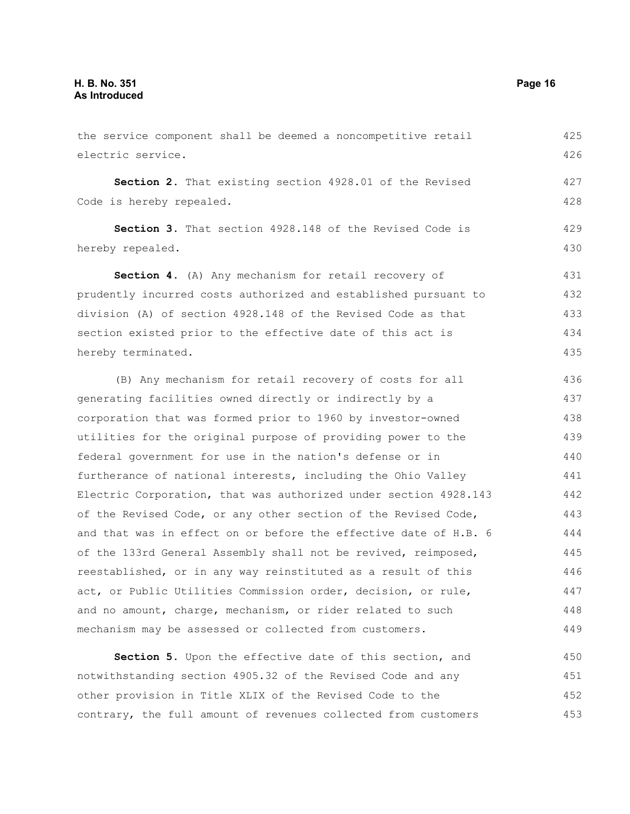the service component shall be deemed a noncompetitive retail electric service. **Section 2.** That existing section 4928.01 of the Revised Code is hereby repealed. **Section 3.** That section 4928.148 of the Revised Code is hereby repealed. **Section 4.** (A) Any mechanism for retail recovery of prudently incurred costs authorized and established pursuant to division (A) of section 4928.148 of the Revised Code as that section existed prior to the effective date of this act is hereby terminated. (B) Any mechanism for retail recovery of costs for all generating facilities owned directly or indirectly by a corporation that was formed prior to 1960 by investor-owned utilities for the original purpose of providing power to the federal government for use in the nation's defense or in furtherance of national interests, including the Ohio Valley Electric Corporation, that was authorized under section 4928.143 of the Revised Code, or any other section of the Revised Code, and that was in effect on or before the effective date of H.B. 6 of the 133rd General Assembly shall not be revived, reimposed, reestablished, or in any way reinstituted as a result of this act, or Public Utilities Commission order, decision, or rule, and no amount, charge, mechanism, or rider related to such mechanism may be assessed or collected from customers. **Section 5.** Upon the effective date of this section, and 425 426 427 428 429 430 431 432 433 434 435 436 437 438 439 440 441 442 443 444 445 446 447 448 449 450

notwithstanding section 4905.32 of the Revised Code and any other provision in Title XLIX of the Revised Code to the contrary, the full amount of revenues collected from customers 451 452 453